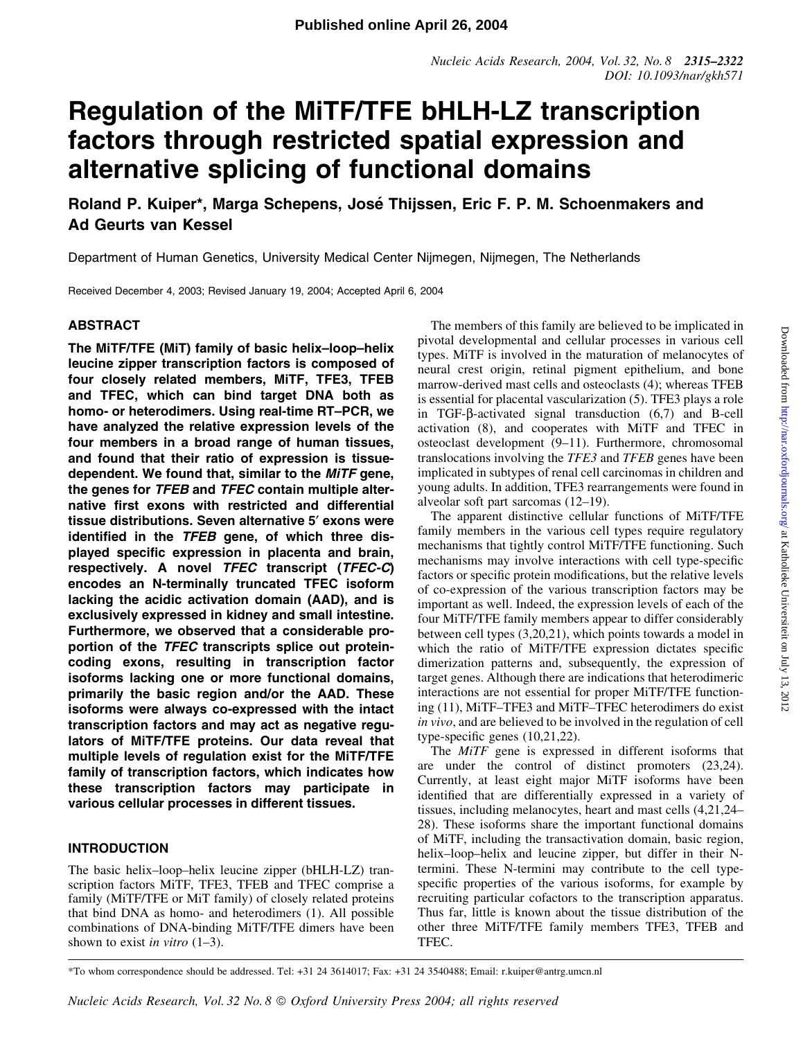# Regulation of the MiTF/TFE bHLH-LZ transcription factors through restricted spatial expression and alternative splicing of functional domains

Roland P. Kuiper\*, Marga Schepens, José Thijssen, Eric F. P. M. Schoenmakers and Ad Geurts van Kessel

Department of Human Genetics, University Medical Center Nijmegen, Nijmegen, The Netherlands

Received December 4, 2003; Revised January 19, 2004; Accepted April 6, 2004

# ABSTRACT

The MITF/TFE (MIT) family of basic helix-loop-helix leucine zipper transcription factors is composed of four closely related members, MiTF, TFE3, TFEB and TFEC, which can bind target DNA both as homo- or heterodimers. Using real-time RT-PCR, we have analyzed the relative expression levels of the four members in a broad range of human tissues, and found that their ratio of expression is tissuedependent. We found that, similar to the MiTF gene, the genes for TFEB and TFEC contain multiple alternative first exons with restricted and differential tissue distributions. Seven alternative 5<sup>'</sup> exons were identified in the  $TFEB$  gene, of which three displayed specific expression in placenta and brain, respectively. A novel TFEC transcript (TFEC-C) encodes an N-terminally truncated TFEC isoform lacking the acidic activation domain (AAD), and is exclusively expressed in kidney and small intestine. Furthermore, we observed that a considerable proportion of the TFEC transcripts splice out proteincoding exons, resulting in transcription factor isoforms lacking one or more functional domains, primarily the basic region and/or the AAD. These isoforms were always co-expressed with the intact transcription factors and may act as negative regulators of MiTF/TFE proteins. Our data reveal that multiple levels of regulation exist for the MiTF/TFE family of transcription factors, which indicates how these transcription factors may participate in various cellular processes in different tissues.

# INTRODUCTION

The basic helix-loop-helix leucine zipper (bHLH-LZ) transcription factors MiTF, TFE3, TFEB and TFEC comprise a family (MiTF/TFE or MiT family) of closely related proteins that bind DNA as homo- and heterodimers (1). All possible combinations of DNA-binding MiTF/TFE dimers have been shown to exist *in vitro*  $(1-3)$ .

The members of this family are believed to be implicated in pivotal developmental and cellular processes in various cell types. MiTF is involved in the maturation of melanocytes of neural crest origin, retinal pigment epithelium, and bone marrow-derived mast cells and osteoclasts (4); whereas TFEB is essential for placental vascularization (5). TFE3 plays a role in TGF- $\beta$ -activated signal transduction  $(6,7)$  and B-cell activation (8), and cooperates with MiTF and TFEC in osteoclast development (9-11). Furthermore, chromosomal translocations involving the TFE3 and TFEB genes have been implicated in subtypes of renal cell carcinomas in children and young adults. In addition, TFE3 rearrangements were found in alveolar soft part sarcomas  $(12-19)$ .

The apparent distinctive cellular functions of MiTF/TFE family members in the various cell types require regulatory mechanisms that tightly control MiTF/TFE functioning. Such mechanisms may involve interactions with cell type-specific factors or specific protein modifications, but the relative levels of co-expression of the various transcription factors may be important as well. Indeed, the expression levels of each of the four MiTF/TFE family members appear to differ considerably between cell types (3,20,21), which points towards a model in which the ratio of MiTF/TFE expression dictates specific dimerization patterns and, subsequently, the expression of target genes. Although there are indications that heterodimeric interactions are not essential for proper MiTF/TFE functioning (11), MiTF-TFE3 and MiTF-TFEC heterodimers do exist in vivo, and are believed to be involved in the regulation of cell type-specific genes  $(10,21,22)$ .

The MiTF gene is expressed in different isoforms that are under the control of distinct promoters (23,24). Currently, at least eight major MiTF isoforms have been identified that are differentially expressed in a variety of tissues, including melanocytes, heart and mast cells  $(4,21,24-$ 28). These isoforms share the important functional domains of MiTF, including the transactivation domain, basic region, helix-loop-helix and leucine zipper, but differ in their Ntermini. These N-termini may contribute to the cell typespecific properties of the various isoforms, for example by recruiting particular cofactors to the transcription apparatus. Thus far, little is known about the tissue distribution of the other three MiTF/TFE family members TFE3, TFEB and TFEC.

\*To whom correspondence should be addressed. Tel: +31 24 3614017; Fax: +31 24 3540488; Email: r.kuiper@antrg.umcn.nl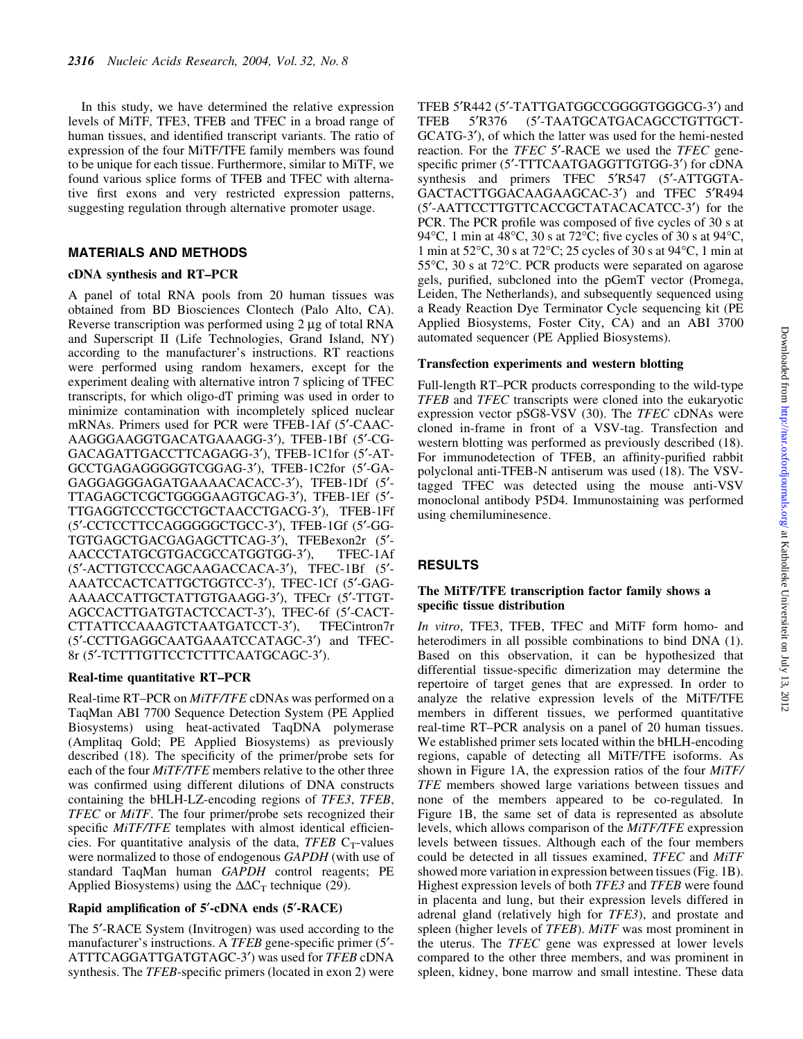In this study, we have determined the relative expression levels of MiTF, TFE3, TFEB and TFEC in a broad range of human tissues, and identified transcript variants. The ratio of expression of the four MiTF/TFE family members was found to be unique for each tissue. Furthermore, similar to MiTF, we found various splice forms of TFEB and TFEC with alternative first exons and very restricted expression patterns, suggesting regulation through alternative promoter usage.

# MATERIALS AND METHODS

#### cDNA synthesis and RT-PCR

A panel of total RNA pools from 20 human tissues was obtained from BD Biosciences Clontech (Palo Alto, CA). Reverse transcription was performed using  $2 \mu$ g of total RNA and Superscript II (Life Technologies, Grand Island, NY) according to the manufacturer's instructions. RT reactions were performed using random hexamers, except for the experiment dealing with alternative intron 7 splicing of TFEC transcripts, for which oligo-dT priming was used in order to minimize contamination with incompletely spliced nuclear mRNAs. Primers used for PCR were TFEB-1Af (5'-CAAC-AAGGGAAGGTGACATGAAAGG-3'), TFEB-1Bf (5'-CG-GACAGATTGACCTTCAGAGG-3'), TFEB-1C1for (5'-AT-GCCTGAGAGGGGGTCGGAG-3'), TFEB-1C2for (5'-GA-GAGGAGGGAGATGAAAACACACC-3'), TFEB-1Df (5'-TTAGAGCTCGCTGGGGAAGTGCAG-3'), TFEB-1Ef (5'-TTGAGGTCCCTGCCTGCTAACCTGACG-3'), TFEB-1Ff (5¢-CCTCCTTCCAGGGGGCTGCC-3¢), TFEB-1Gf (5¢-GG-TGTGAGCTGACGAGAGCTTCAG-3'), TFEBexon2r (5'-AACCCTATGCGTGACGCCATGGTGG-3'), TFEC-1Af (5'-ACTTGTCCCAGCAAGACCACA-3'), TFEC-1Bf (5'-AAATCCACTCATTGCTGGTCC-3'), TFEC-1Cf (5'-GAG-AAAACCATTGCTATTGTGAAGG-3'), TFECr (5'-TTGT-AGCCACTTGATGTACTCCACT-3'), TFEC-6f (5'-CACT-CTTATTCCAAAGTCTAATGATCCT-3'), TFECintron7r (5'-CCTTGAGGCAATGAAATCCATAGC-3') and TFEC-8r (5'-TCTTTGTTCCTCTTTCAATGCAGC-3').

#### Real-time quantitative RT-PCR

Real-time RT-PCR on MiTF/TFE cDNAs was performed on a TaqMan ABI 7700 Sequence Detection System (PE Applied Biosystems) using heat-activated TaqDNA polymerase (Amplitaq Gold; PE Applied Biosystems) as previously described (18). The specificity of the primer/probe sets for each of the four *MiTF/TFE* members relative to the other three was confirmed using different dilutions of DNA constructs containing the bHLH-LZ-encoding regions of TFE3, TFEB, TFEC or MiTF. The four primer/probe sets recognized their specific MiTF/TFE templates with almost identical efficiencies. For quantitative analysis of the data, TFEB  $C_T$ -values were normalized to those of endogenous GAPDH (with use of standard TaqMan human GAPDH control reagents; PE Applied Biosystems) using the  $\Delta \Delta C_T$  technique (29).

#### Rapid amplification of  $5'$ -cDNA ends  $(5'$ -RACE)

The 5'-RACE System (Invitrogen) was used according to the manufacturer's instructions. A  $TFEB$  gene-specific primer (5 $'$ -ATTTCAGGATTGATGTAGC-3') was used for TFEB cDNA synthesis. The *TFEB*-specific primers (located in exon 2) were TFEB 5'R442 (5'-TATTGATGGCCGGGGTGGGCG-3') and TFEB 5'R376 (5'-TAATGCATGACAGCCTGTTGCT-GCATG-3'), of which the latter was used for the hemi-nested reaction. For the TFEC 5'-RACE we used the TFEC genespecific primer (5'-TTTCAATGAGGTTGTGG-3') for cDNA synthesis and primers TFEC 5'R547 (5'-ATTGGTA-GACTACTTGGACAAGAAGCAC-3') and TFEC 5'R494 (5'-AATTCCTTGTTCACCGCTATACACATCC-3') for the PCR. The PCR profile was composed of five cycles of 30 s at 94 $\degree$ C, 1 min at 48 $\degree$ C, 30 s at 72 $\degree$ C; five cycles of 30 s at 94 $\degree$ C, 1 min at 52°C, 30 s at 72°C; 25 cycles of 30 s at 94°C, 1 min at 55°C, 30 s at 72°C. PCR products were separated on agarose gels, purified, subcloned into the pGemT vector (Promega, Leiden, The Netherlands), and subsequently sequenced using a Ready Reaction Dye Terminator Cycle sequencing kit (PE Applied Biosystems, Foster City, CA) and an ABI 3700 automated sequencer (PE Applied Biosystems).

#### Transfection experiments and western blotting

Full-length RT-PCR products corresponding to the wild-type TFEB and TFEC transcripts were cloned into the eukaryotic expression vector pSG8-VSV (30). The TFEC cDNAs were cloned in-frame in front of a VSV-tag. Transfection and western blotting was performed as previously described (18). For immunodetection of TFEB, an affinity-purified rabbit polyclonal anti-TFEB-N antiserum was used (18). The VSVtagged TFEC was detected using the mouse anti-VSV monoclonal antibody P5D4. Immunostaining was performed using chemiluminesence.

# **RESULTS**

### The MiTF/TFE transcription factor family shows a specific tissue distribution

In vitro, TFE3, TFEB, TFEC and MiTF form homo- and heterodimers in all possible combinations to bind DNA (1). Based on this observation, it can be hypothesized that differential tissue-specific dimerization may determine the repertoire of target genes that are expressed. In order to analyze the relative expression levels of the MiTF/TFE members in different tissues, we performed quantitative real-time RT-PCR analysis on a panel of 20 human tissues. We established primer sets located within the bHLH-encoding regions, capable of detecting all MiTF/TFE isoforms. As shown in Figure 1A, the expression ratios of the four *MiTF*/ TFE members showed large variations between tissues and none of the members appeared to be co-regulated. In Figure 1B, the same set of data is represented as absolute levels, which allows comparison of the MiTF/TFE expression levels between tissues. Although each of the four members could be detected in all tissues examined, TFEC and MiTF showed more variation in expression between tissues (Fig. 1B). Highest expression levels of both TFE3 and TFEB were found in placenta and lung, but their expression levels differed in adrenal gland (relatively high for TFE3), and prostate and spleen (higher levels of TFEB). MiTF was most prominent in the uterus. The TFEC gene was expressed at lower levels compared to the other three members, and was prominent in spleen, kidney, bone marrow and small intestine. These data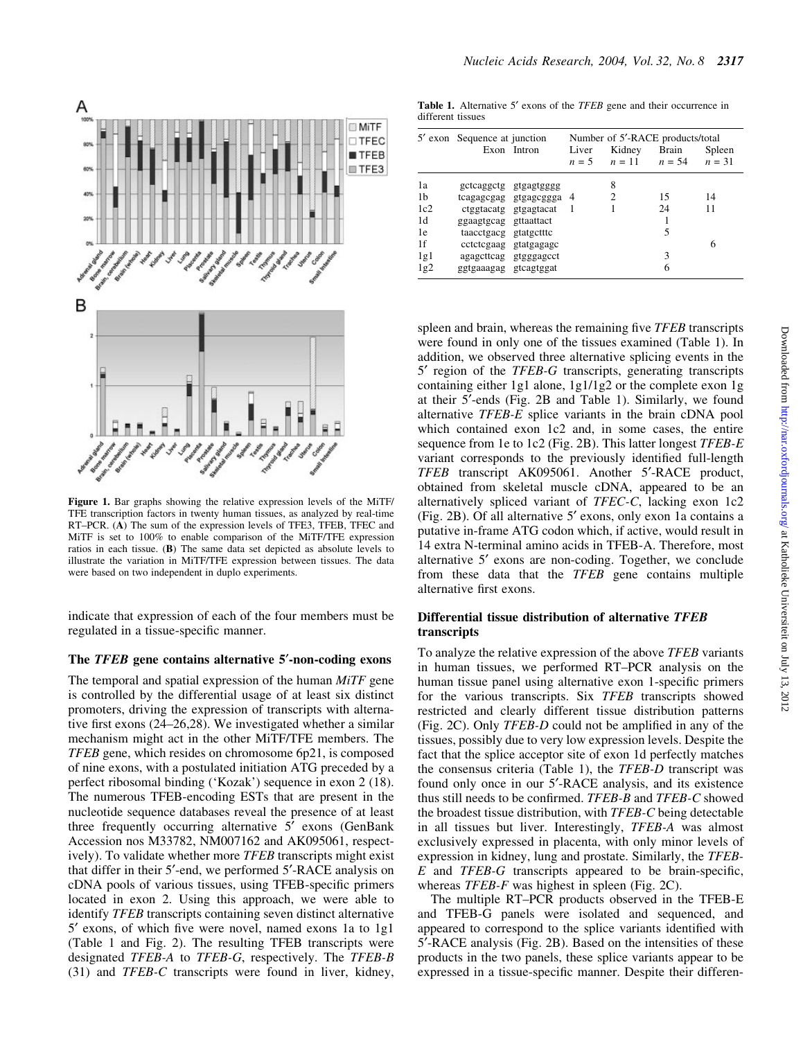

Figure 1. Bar graphs showing the relative expression levels of the MiTF/ TFE transcription factors in twenty human tissues, as analyzed by real-time RT-PCR. (A) The sum of the expression levels of TFE3, TFEB, TFEC and MiTF is set to 100% to enable comparison of the MiTF/TFE expression ratios in each tissue. (B) The same data set depicted as absolute levels to illustrate the variation in MiTF/TFE expression between tissues. The data were based on two independent in duplo experiments.

indicate that expression of each of the four members must be regulated in a tissue-specific manner.

## The TFEB gene contains alternative 5'-non-coding exons

The temporal and spatial expression of the human MiTF gene is controlled by the differential usage of at least six distinct promoters, driving the expression of transcripts with alternative first exons  $(24–26,28)$ . We investigated whether a similar mechanism might act in the other MiTF/TFE members. The TFEB gene, which resides on chromosome 6p21, is composed of nine exons, with a postulated initiation ATG preceded by a perfect ribosomal binding (`Kozak') sequence in exon 2 (18). The numerous TFEB-encoding ESTs that are present in the nucleotide sequence databases reveal the presence of at least three frequently occurring alternative 5' exons (GenBank Accession nos M33782, NM007162 and AK095061, respectively). To validate whether more TFEB transcripts might exist that differ in their 5'-end, we performed 5'-RACE analysis on cDNA pools of various tissues, using TFEB-specific primers located in exon 2. Using this approach, we were able to identify TFEB transcripts containing seven distinct alternative 5' exons, of which five were novel, named exons 1a to 1g1 (Table 1 and Fig. 2). The resulting TFEB transcripts were designated TFEB-A to TFEB-G, respectively. The TFEB-B (31) and TFEB-C transcripts were found in liver, kidney,

Table 1. Alternative 5' exons of the TFEB gene and their occurrence in different tissues

|                                                 | 5' exon Sequence at junction                                            | Exon Intron                                                                                                               | Liver  | Number of 5'-RACE products/total<br>Kidney<br>$n = 5$ $n = 11$ $n = 54$ | Brain                   | Spleen<br>$n = 31$ |
|-------------------------------------------------|-------------------------------------------------------------------------|---------------------------------------------------------------------------------------------------------------------------|--------|-------------------------------------------------------------------------|-------------------------|--------------------|
| 1a<br>1b<br>1c2<br>1d<br>1e<br>1f<br>1g1<br>1g2 | ggaagtgcag gttaattact<br>taacctgacg gtatgctttc<br>ggtgaaagag gtcagtggat | gctcaggctg gtgagtgggg<br>tcagagcgag gtgagcggga<br>ctggtacatg gtgagtacat<br>cctctcgaag gtatgagagc<br>agagetteag gtgggageet | 4<br>1 | 8<br>2                                                                  | 15<br>24<br>5<br>3<br>6 | 14<br>11<br>6      |

spleen and brain, whereas the remaining five *TFEB* transcripts were found in only one of the tissues examined (Table 1). In addition, we observed three alternative splicing events in the 5' region of the *TFEB-G* transcripts, generating transcripts containing either 1g1 alone, 1g1/1g2 or the complete exon 1g at their 5¢-ends (Fig. 2B and Table 1). Similarly, we found alternative TFEB-E splice variants in the brain cDNA pool which contained exon 1c2 and, in some cases, the entire sequence from 1e to 1c2 (Fig. 2B). This latter longest TFEB-E variant corresponds to the previously identified full-length TFEB transcript AK095061. Another 5'-RACE product, obtained from skeletal muscle cDNA, appeared to be an alternatively spliced variant of TFEC-C, lacking exon 1c2 (Fig. 2B). Of all alternative 5' exons, only exon 1a contains a putative in-frame ATG codon which, if active, would result in 14 extra N-terminal amino acids in TFEB-A. Therefore, most alternative 5¢ exons are non-coding. Together, we conclude from these data that the TFEB gene contains multiple alternative first exons.

#### Differential tissue distribution of alternative TFEB transcripts

To analyze the relative expression of the above TFEB variants in human tissues, we performed RT-PCR analysis on the human tissue panel using alternative exon 1-specific primers for the various transcripts. Six TFEB transcripts showed restricted and clearly different tissue distribution patterns (Fig. 2C). Only  $TFEB-D$  could not be amplified in any of the tissues, possibly due to very low expression levels. Despite the fact that the splice acceptor site of exon 1d perfectly matches the consensus criteria (Table 1), the TFEB-D transcript was found only once in our 5'-RACE analysis, and its existence thus still needs to be confirmed. TFEB-B and TFEB-C showed the broadest tissue distribution, with TFEB-C being detectable in all tissues but liver. Interestingly, TFEB-A was almost exclusively expressed in placenta, with only minor levels of expression in kidney, lung and prostate. Similarly, the TFEB- $E$  and TFEB-G transcripts appeared to be brain-specific, whereas *TFEB-F* was highest in spleen (Fig. 2C).

The multiple RT-PCR products observed in the TFEB-E and TFEB-G panels were isolated and sequenced, and appeared to correspond to the splice variants identified with 5'-RACE analysis (Fig. 2B). Based on the intensities of these products in the two panels, these splice variants appear to be expressed in a tissue-specific manner. Despite their differen-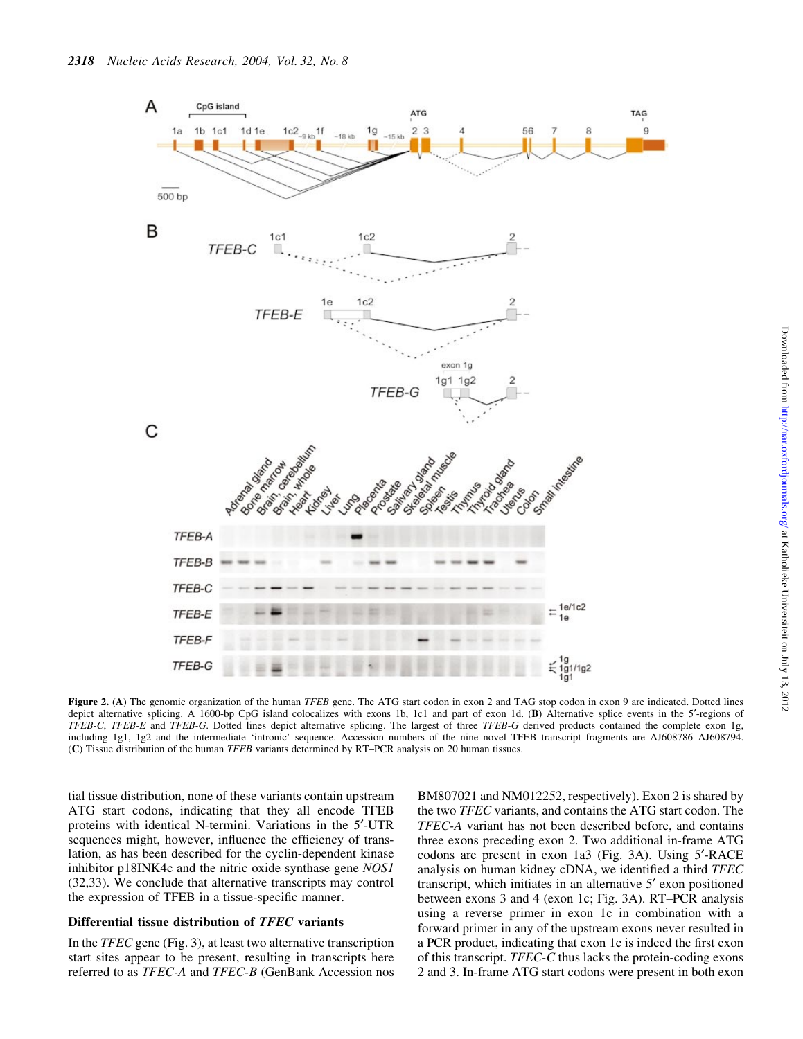

Figure 2. (A) The genomic organization of the human TFEB gene. The ATG start codon in exon 2 and TAG stop codon in exon 9 are indicated. Dotted lines depict alternative splicing. A 1600-bp CpG island colocalizes with exons 1b, 1c1 and part of exon 1d. (B) Alternative splice events in the 5'-regions of TFEB-C, TFEB-E and TFEB-G. Dotted lines depict alternative splicing. The largest of three TFEB-G derived products contained the complete exon 1g, including 1g1, 1g2 and the intermediate 'intronic' sequence. Accession numbers of the nine novel TFEB transcript fragments are AJ608786-AJ608794. (C) Tissue distribution of the human TFEB variants determined by RT-PCR analysis on 20 human tissues.

tial tissue distribution, none of these variants contain upstream ATG start codons, indicating that they all encode TFEB proteins with identical N-termini. Variations in the 5<sup>'</sup>-UTR sequences might, however, influence the efficiency of translation, as has been described for the cyclin-dependent kinase inhibitor p18INK4c and the nitric oxide synthase gene NOS1 (32,33). We conclude that alternative transcripts may control the expression of TFEB in a tissue-specific manner.

## Differential tissue distribution of TFEC variants

In the TFEC gene (Fig. 3), at least two alternative transcription start sites appear to be present, resulting in transcripts here referred to as TFEC-A and TFEC-B (GenBank Accession nos BM807021 and NM012252, respectively). Exon 2 is shared by the two TFEC variants, and contains the ATG start codon. The TFEC-A variant has not been described before, and contains three exons preceding exon 2. Two additional in-frame ATG codons are present in exon 1a3 (Fig. 3A). Using 5'-RACE analysis on human kidney cDNA, we identified a third TFEC transcript, which initiates in an alternative 5¢ exon positioned between exons  $3$  and  $4$  (exon 1c; Fig. 3A). RT-PCR analysis using a reverse primer in exon 1c in combination with a forward primer in any of the upstream exons never resulted in a PCR product, indicating that exon 1c is indeed the first exon of this transcript. TFEC-C thus lacks the protein-coding exons 2 and 3. In-frame ATG start codons were present in both exon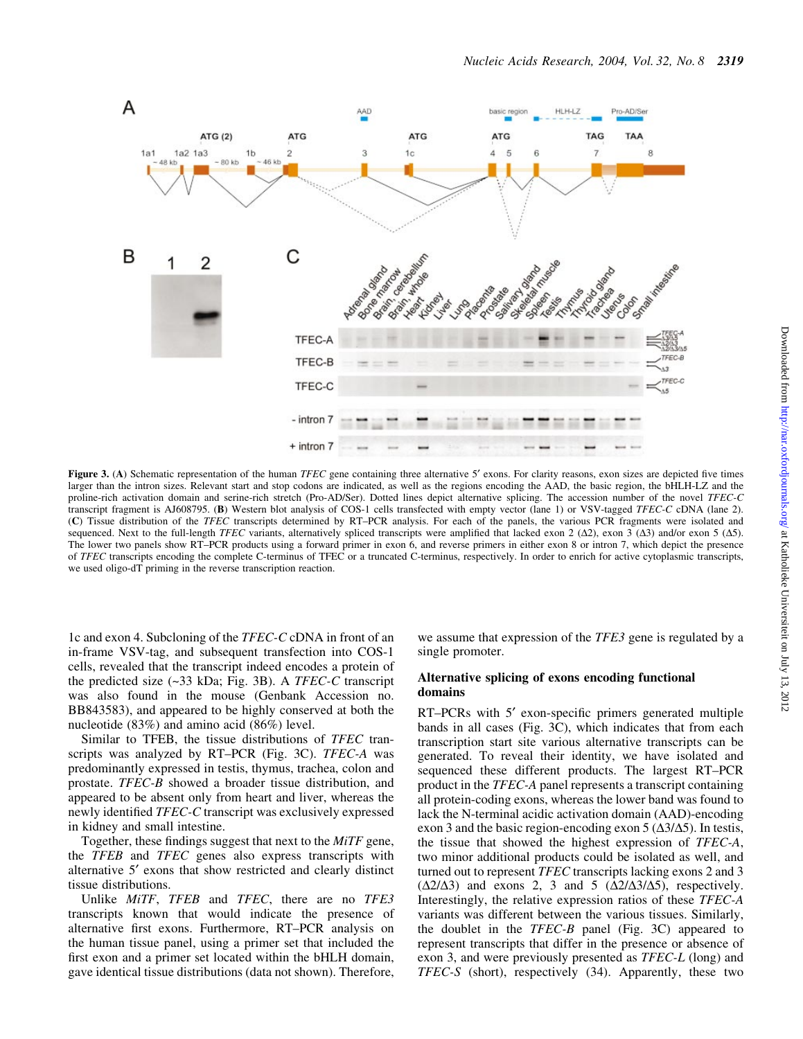

Figure 3. (A) Schematic representation of the human TFEC gene containing three alternative 5' exons. For clarity reasons, exon sizes are depicted five times larger than the intron sizes. Relevant start and stop codons are indicated, as well as the regions encoding the AAD, the basic region, the bHLH-LZ and the proline-rich activation domain and serine-rich stretch (Pro-AD/Ser). Dotted lines depict alternative splicing. The accession number of the novel TFEC-C transcript fragment is AJ608795. (B) Western blot analysis of COS-1 cells transfected with empty vector (lane 1) or VSV-tagged TFEC-C cDNA (lane 2). (C) Tissue distribution of the TFEC transcripts determined by RT-PCR analysis. For each of the panels, the various PCR fragments were isolated and sequenced. Next to the full-length TFEC variants, alternatively spliced transcripts were amplified that lacked exon 2 ( $\Delta$ 2), exon 3 ( $\Delta$ 3) and/or exon 5 ( $\Delta$ 5). The lower two panels show RT-PCR products using a forward primer in exon 6, and reverse primers in either exon 8 or intron 7, which depict the presence of TFEC transcripts encoding the complete C-terminus of TFEC or a truncated C-terminus, respectively. In order to enrich for active cytoplasmic transcripts, we used oligo-dT priming in the reverse transcription reaction.

1c and exon 4. Subcloning of the TFEC-C cDNA in front of an in-frame VSV-tag, and subsequent transfection into COS-1 cells, revealed that the transcript indeed encodes a protein of the predicted size  $(\sim 33 \text{ kDa}; \text{Fig. 3B}).$  A TFEC-C transcript was also found in the mouse (Genbank Accession no. BB843583), and appeared to be highly conserved at both the nucleotide (83%) and amino acid (86%) level.

Similar to TFEB, the tissue distributions of TFEC transcripts was analyzed by  $RT-PCR$  (Fig. 3C).  $TFEC-A$  was predominantly expressed in testis, thymus, trachea, colon and prostate. TFEC-B showed a broader tissue distribution, and appeared to be absent only from heart and liver, whereas the newly identified TFEC-C transcript was exclusively expressed in kidney and small intestine.

Together, these findings suggest that next to the *MiTF* gene, the TFEB and TFEC genes also express transcripts with alternative 5¢ exons that show restricted and clearly distinct tissue distributions.

Unlike MiTF, TFEB and TFEC, there are no TFE3 transcripts known that would indicate the presence of alternative first exons. Furthermore, RT-PCR analysis on the human tissue panel, using a primer set that included the first exon and a primer set located within the bHLH domain, gave identical tissue distributions (data not shown). Therefore,

we assume that expression of the *TFE3* gene is regulated by a single promoter.

#### Alternative splicing of exons encoding functional domains

 $RT-PCRs$  with  $5'$  exon-specific primers generated multiple bands in all cases (Fig. 3C), which indicates that from each transcription start site various alternative transcripts can be generated. To reveal their identity, we have isolated and sequenced these different products. The largest RT-PCR product in the TFEC-A panel represents a transcript containing all protein-coding exons, whereas the lower band was found to lack the N-terminal acidic activation domain (AAD)-encoding exon 3 and the basic region-encoding exon 5 ( $\Delta$ 3/ $\Delta$ 5). In testis, the tissue that showed the highest expression of TFEC-A, two minor additional products could be isolated as well, and turned out to represent TFEC transcripts lacking exons 2 and 3  $(\Delta 2/\Delta 3)$  and exons 2, 3 and 5  $(\Delta 2/\Delta 3/\Delta 5)$ , respectively. Interestingly, the relative expression ratios of these TFEC-A variants was different between the various tissues. Similarly, the doublet in the TFEC-B panel (Fig. 3C) appeared to represent transcripts that differ in the presence or absence of exon 3, and were previously presented as *TFEC-L* (long) and TFEC-S (short), respectively (34). Apparently, these two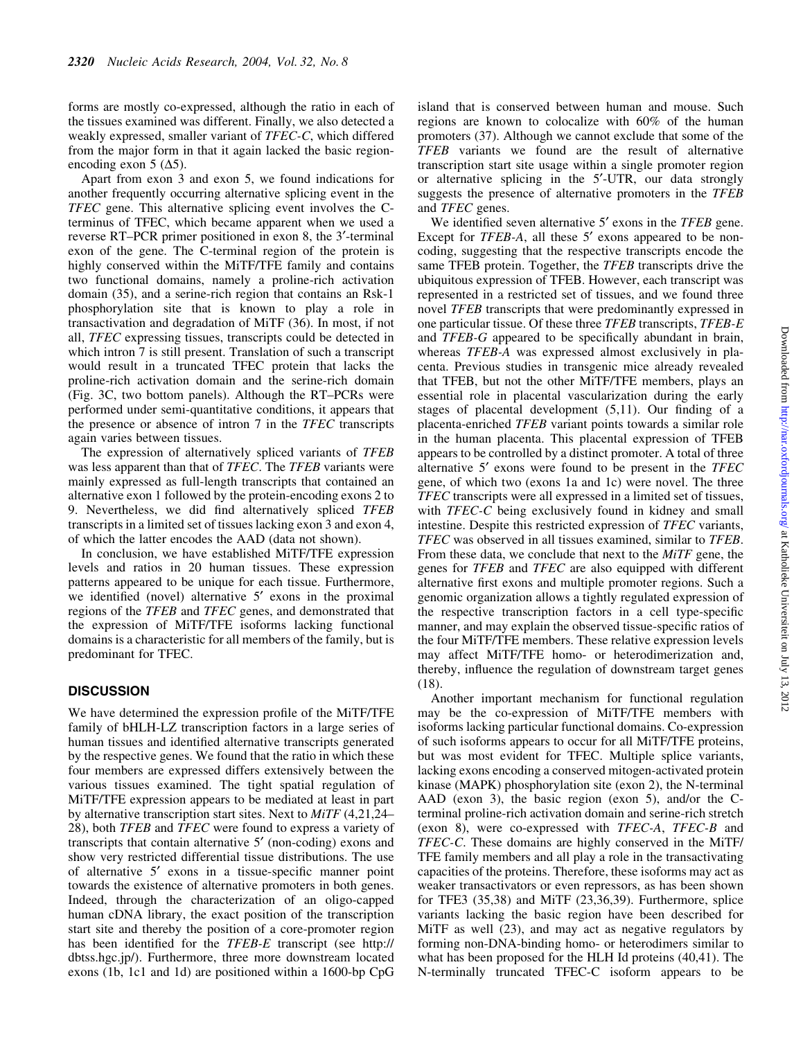forms are mostly co-expressed, although the ratio in each of the tissues examined was different. Finally, we also detected a weakly expressed, smaller variant of TFEC-C, which differed from the major form in that it again lacked the basic regionencoding exon 5 ( $\Delta$ 5).

Apart from exon 3 and exon 5, we found indications for another frequently occurring alternative splicing event in the TFEC gene. This alternative splicing event involves the Cterminus of TFEC, which became apparent when we used a reverse RT-PCR primer positioned in exon 8, the 3<sup>'</sup>-terminal exon of the gene. The C-terminal region of the protein is highly conserved within the MiTF/TFE family and contains two functional domains, namely a proline-rich activation domain (35), and a serine-rich region that contains an Rsk-1 phosphorylation site that is known to play a role in transactivation and degradation of MiTF (36). In most, if not all, TFEC expressing tissues, transcripts could be detected in which intron 7 is still present. Translation of such a transcript would result in a truncated TFEC protein that lacks the proline-rich activation domain and the serine-rich domain (Fig. 3C, two bottom panels). Although the  $RT-PCRs$  were performed under semi-quantitative conditions, it appears that the presence or absence of intron 7 in the TFEC transcripts again varies between tissues.

The expression of alternatively spliced variants of TFEB was less apparent than that of *TFEC*. The *TFEB* variants were mainly expressed as full-length transcripts that contained an alternative exon 1 followed by the protein-encoding exons 2 to 9. Nevertheless, we did find alternatively spliced TFEB transcripts in a limited set of tissues lacking exon 3 and exon 4, of which the latter encodes the AAD (data not shown).

In conclusion, we have established MiTF/TFE expression levels and ratios in 20 human tissues. These expression patterns appeared to be unique for each tissue. Furthermore, we identified (novel) alternative  $5'$  exons in the proximal regions of the TFEB and TFEC genes, and demonstrated that the expression of MiTF/TFE isoforms lacking functional domains is a characteristic for all members of the family, but is predominant for TFEC.

### **DISCUSSION**

We have determined the expression profile of the MiTF/TFE family of bHLH-LZ transcription factors in a large series of human tissues and identified alternative transcripts generated by the respective genes. We found that the ratio in which these four members are expressed differs extensively between the various tissues examined. The tight spatial regulation of MiTF/TFE expression appears to be mediated at least in part by alternative transcription start sites. Next to  $MiTF$  (4,21,24– 28), both TFEB and TFEC were found to express a variety of transcripts that contain alternative 5' (non-coding) exons and show very restricted differential tissue distributions. The use of alternative  $5'$  exons in a tissue-specific manner point towards the existence of alternative promoters in both genes. Indeed, through the characterization of an oligo-capped human cDNA library, the exact position of the transcription start site and thereby the position of a core-promoter region has been identified for the TFEB-E transcript (see http:// dbtss.hgc.jp/). Furthermore, three more downstream located exons (1b, 1c1 and 1d) are positioned within a 1600-bp CpG

island that is conserved between human and mouse. Such regions are known to colocalize with 60% of the human promoters (37). Although we cannot exclude that some of the TFEB variants we found are the result of alternative transcription start site usage within a single promoter region or alternative splicing in the 5'-UTR, our data strongly suggests the presence of alternative promoters in the TFEB and TFEC genes.

We identified seven alternative  $5'$  exons in the TFEB gene. Except for *TFEB-A*, all these 5' exons appeared to be noncoding, suggesting that the respective transcripts encode the same TFEB protein. Together, the TFEB transcripts drive the ubiquitous expression of TFEB. However, each transcript was represented in a restricted set of tissues, and we found three novel TFEB transcripts that were predominantly expressed in one particular tissue. Of these three TFEB transcripts, TFEB-E and TFEB-G appeared to be specifically abundant in brain, whereas TFEB-A was expressed almost exclusively in placenta. Previous studies in transgenic mice already revealed that TFEB, but not the other MiTF/TFE members, plays an essential role in placental vascularization during the early stages of placental development  $(5,11)$ . Our finding of a placenta-enriched TFEB variant points towards a similar role in the human placenta. This placental expression of TFEB appears to be controlled by a distinct promoter. A total of three alternative  $5'$  exons were found to be present in the  $TFEC$ gene, of which two (exons 1a and 1c) were novel. The three TFEC transcripts were all expressed in a limited set of tissues, with *TFEC-C* being exclusively found in kidney and small intestine. Despite this restricted expression of TFEC variants, TFEC was observed in all tissues examined, similar to TFEB. From these data, we conclude that next to the MiTF gene, the genes for TFEB and TFEC are also equipped with different alternative first exons and multiple promoter regions. Such a genomic organization allows a tightly regulated expression of the respective transcription factors in a cell type-specific manner, and may explain the observed tissue-specific ratios of the four MiTF/TFE members. These relative expression levels may affect MiTF/TFE homo- or heterodimerization and, thereby, influence the regulation of downstream target genes (18).

Another important mechanism for functional regulation may be the co-expression of MiTF/TFE members with isoforms lacking particular functional domains. Co-expression of such isoforms appears to occur for all MiTF/TFE proteins, but was most evident for TFEC. Multiple splice variants, lacking exons encoding a conserved mitogen-activated protein kinase (MAPK) phosphorylation site (exon 2), the N-terminal AAD (exon 3), the basic region (exon 5), and/or the Cterminal proline-rich activation domain and serine-rich stretch (exon 8), were co-expressed with TFEC-A, TFEC-B and TFEC-C. These domains are highly conserved in the MiTF/ TFE family members and all play a role in the transactivating capacities of the proteins. Therefore, these isoforms may act as weaker transactivators or even repressors, as has been shown for TFE3 (35,38) and MiTF (23,36,39). Furthermore, splice variants lacking the basic region have been described for MiTF as well (23), and may act as negative regulators by forming non-DNA-binding homo- or heterodimers similar to what has been proposed for the HLH Id proteins (40,41). The N-terminally truncated TFEC-C isoform appears to be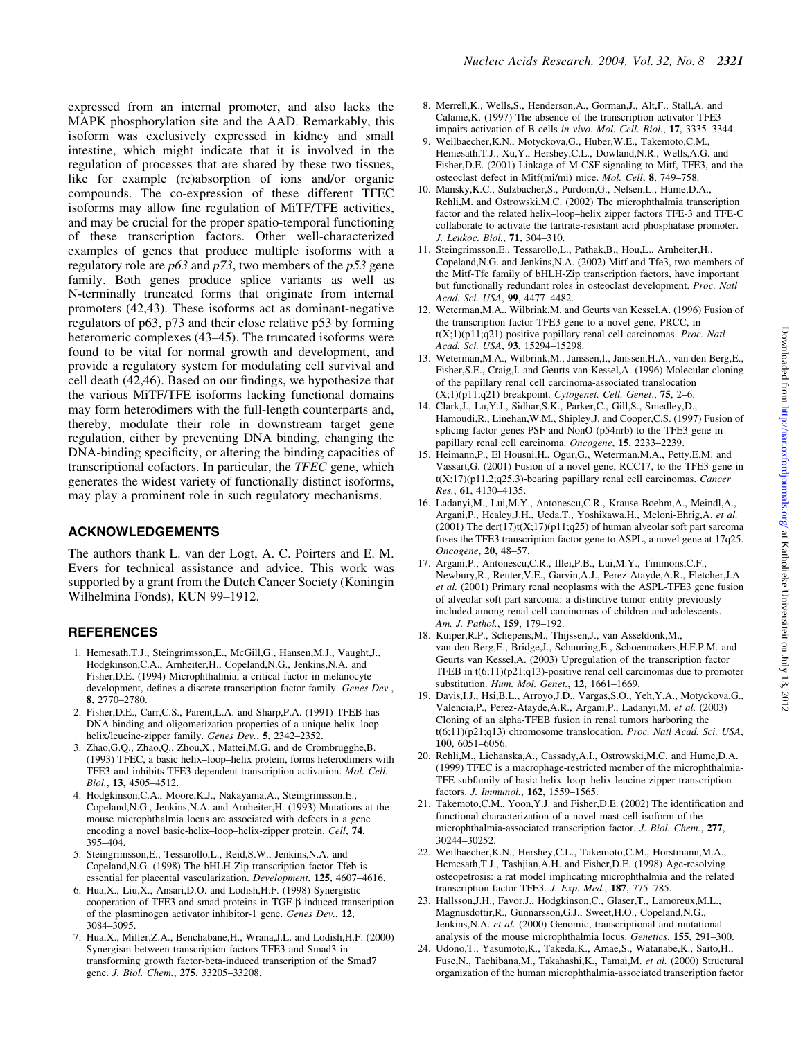expressed from an internal promoter, and also lacks the MAPK phosphorylation site and the AAD. Remarkably, this isoform was exclusively expressed in kidney and small intestine, which might indicate that it is involved in the regulation of processes that are shared by these two tissues, like for example (re)absorption of ions and/or organic compounds. The co-expression of these different TFEC isoforms may allow fine regulation of MiTF/TFE activities, and may be crucial for the proper spatio-temporal functioning of these transcription factors. Other well-characterized examples of genes that produce multiple isoforms with a regulatory role are  $p63$  and  $p73$ , two members of the  $p53$  gene family. Both genes produce splice variants as well as N-terminally truncated forms that originate from internal promoters (42,43). These isoforms act as dominant-negative regulators of p63, p73 and their close relative p53 by forming heteromeric complexes (43-45). The truncated isoforms were found to be vital for normal growth and development, and provide a regulatory system for modulating cell survival and cell death (42,46). Based on our findings, we hypothesize that the various MiTF/TFE isoforms lacking functional domains may form heterodimers with the full-length counterparts and, thereby, modulate their role in downstream target gene regulation, either by preventing DNA binding, changing the DNA-binding specificity, or altering the binding capacities of transcriptional cofactors. In particular, the TFEC gene, which generates the widest variety of functionally distinct isoforms, may play a prominent role in such regulatory mechanisms.

### ACKNOWLEDGEMENTS

The authors thank L. van der Logt, A. C. Poirters and E. M. Evers for technical assistance and advice. This work was supported by a grant from the Dutch Cancer Society (Koningin Wilhelmina Fonds), KUN 99-1912.

## **REFERENCES**

- 1. Hemesath,T.J., Steingrimsson,E., McGill,G., Hansen,M.J., Vaught,J., Hodgkinson,C.A., Arnheiter,H., Copeland,N.G., Jenkins,N.A. and Fisher,D.E. (1994) Microphthalmia, a critical factor in melanocyte development, defines a discrete transcription factor family. Genes Dev., 8, 2770±2780.
- 2. Fisher,D.E., Carr,C.S., Parent,L.A. and Sharp,P.A. (1991) TFEB has DNA-binding and oligomerization properties of a unique helix-loophelix/leucine-zipper family. Genes Dev., 5, 2342-2352.
- 3. Zhao,G.Q., Zhao,Q., Zhou,X., Mattei,M.G. and de Crombrugghe,B. (1993) TFEC, a basic helix-loop-helix protein, forms heterodimers with TFE3 and inhibits TFE3-dependent transcription activation. Mol. Cell.  $Biol.$  13, 4505 $-4512$ .
- 4. Hodgkinson,C.A., Moore,K.J., Nakayama,A., Steingrimsson,E., Copeland,N.G., Jenkins,N.A. and Arnheiter,H. (1993) Mutations at the mouse microphthalmia locus are associated with defects in a gene encoding a novel basic-helix-loop-helix-zipper protein. Cell, 74, 395±404.
- 5. Steingrimsson,E., Tessarollo,L., Reid,S.W., Jenkins,N.A. and Copeland,N.G. (1998) The bHLH-Zip transcription factor Tfeb is essential for placental vascularization. Development, 125, 4607-4616.
- 6. Hua,X., Liu,X., Ansari,D.O. and Lodish,H.F. (1998) Synergistic cooperation of TFE3 and smad proteins in TGF- $\beta$ -induced transcription of the plasminogen activator inhibitor-1 gene. Genes Dev., 12, 3084±3095.
- 7. Hua,X., Miller,Z.A., Benchabane,H., Wrana,J.L. and Lodish,H.F. (2000) Synergism between transcription factors TFE3 and Smad3 in transforming growth factor-beta-induced transcription of the Smad7 gene. J. Biol. Chem., 275, 33205-33208.
- 8. Merrell,K., Wells,S., Henderson,A., Gorman,J., Alt,F., Stall,A. and Calame,K. (1997) The absence of the transcription activator TFE3 impairs activation of B cells in vivo. Mol. Cell. Biol., 17, 3335-3344.
- 9. Weilbaecher,K.N., Motyckova,G., Huber,W.E., Takemoto,C.M., Hemesath,T.J., Xu,Y., Hershey,C.L., Dowland,N.R., Wells,A.G. and Fisher,D.E. (2001) Linkage of M-CSF signaling to Mitf, TFE3, and the osteoclast defect in Mitf(mi/mi) mice. Mol. Cell, 8, 749-758.
- 10. Mansky,K.C., Sulzbacher,S., Purdom,G., Nelsen,L., Hume,D.A., Rehli,M. and Ostrowski,M.C. (2002) The microphthalmia transcription factor and the related helix-loop-helix zipper factors TFE-3 and TFE-C collaborate to activate the tartrate-resistant acid phosphatase promoter. J. Leukoc. Biol., 71, 304-310.
- 11. Steingrimsson,E., Tessarollo,L., Pathak,B., Hou,L., Arnheiter,H., Copeland,N.G. and Jenkins,N.A. (2002) Mitf and Tfe3, two members of the Mitf-Tfe family of bHLH-Zip transcription factors, have important but functionally redundant roles in osteoclast development. Proc. Natl Acad. Sci. USA, 99, 4477-4482.
- 12. Weterman,M.A., Wilbrink,M. and Geurts van Kessel,A. (1996) Fusion of the transcription factor TFE3 gene to a novel gene, PRCC, in  $t(X;1)(p11;q21)$ -positive papillary renal cell carcinomas. Proc. Natl Acad. Sci. USA, 93, 15294-15298.
- 13. Weterman,M.A., Wilbrink,M., Janssen,I., Janssen,H.A., van den Berg,E., Fisher,S.E., Craig,I. and Geurts van Kessel,A. (1996) Molecular cloning of the papillary renal cell carcinoma-associated translocation  $(X;1)(p11;q21)$  breakpoint. Cytogenet. Cell. Genet., 75, 2–6.
- 14. Clark,J., Lu,Y.J., Sidhar,S.K., Parker,C., Gill,S., Smedley,D., Hamoudi,R., Linehan,W.M., Shipley,J. and Cooper,C.S. (1997) Fusion of splicing factor genes PSF and NonO (p54nrb) to the TFE3 gene in papillary renal cell carcinoma. Oncogene, 15, 2233-2239.
- 15. Heimann,P., El Housni,H., Ogur,G., Weterman,M.A., Petty,E.M. and Vassart,G. (2001) Fusion of a novel gene, RCC17, to the TFE3 gene in  $t(X;17)$ (p11.2;q25.3)-bearing papillary renal cell carcinomas. Cancer Res., 61, 4130-4135.
- 16. Ladanyi,M., Lui,M.Y., Antonescu,C.R., Krause-Boehm,A., Meindl,A., Argani, P., Healey, J.H., Ueda, T., Yoshikawa, H., Meloni-Ehrig, A. et al.  $(2001)$  The der $(17)$ t $(X;17)$ (p11;q25) of human alveolar soft part sarcoma fuses the TFE3 transcription factor gene to ASPL, a novel gene at 17q25. Oncogene, 20, 48-57.
- 17. Argani,P., Antonescu,C.R., Illei,P.B., Lui,M.Y., Timmons,C.F., Newbury,R., Reuter,V.E., Garvin,A.J., Perez-Atayde,A.R., Fletcher,J.A. et al. (2001) Primary renal neoplasms with the ASPL-TFE3 gene fusion of alveolar soft part sarcoma: a distinctive tumor entity previously included among renal cell carcinomas of children and adolescents. Am. J. Pathol., 159, 179-192.
- 18. Kuiper,R.P., Schepens,M., Thijssen,J., van Asseldonk,M., van den Berg,E., Bridge,J., Schuuring,E., Schoenmakers,H.F.P.M. and Geurts van Kessel,A. (2003) Upregulation of the transcription factor TFEB in t(6;11)(p21;q13)-positive renal cell carcinomas due to promoter substitution. Hum. Mol. Genet., 12, 1661-1669.
- 19. Davis,I.J., Hsi,B.L., Arroyo,J.D., Vargas,S.O., Yeh,Y.A., Motyckova,G., Valencia,P., Perez-Atayde,A.R., Argani,P., Ladanyi,M. et al. (2003) Cloning of an alpha-TFEB fusion in renal tumors harboring the t(6;11)(p21;q13) chromosome translocation. Proc. Natl Acad. Sci. USA, 100, 6051-6056.
- 20. Rehli,M., Lichanska,A., Cassady,A.I., Ostrowski,M.C. and Hume,D.A. (1999) TFEC is a macrophage-restricted member of the microphthalmia-TFE subfamily of basic helix-loop-helix leucine zipper transcription factors. J. Immunol., 162, 1559-1565.
- 21. Takemoto, C.M., Yoon, Y.J. and Fisher, D.E. (2002) The identification and functional characterization of a novel mast cell isoform of the microphthalmia-associated transcription factor. J. Biol. Chem., 277, 30244±30252.
- 22. Weilbaecher,K.N., Hershey,C.L., Takemoto,C.M., Horstmann,M.A., Hemesath,T.J., Tashjian,A.H. and Fisher,D.E. (1998) Age-resolving osteopetrosis: a rat model implicating microphthalmia and the related transcription factor TFE3. J. Exp. Med., 187, 775-785.
- 23. Hallsson,J.H., Favor,J., Hodgkinson,C., Glaser,T., Lamoreux,M.L., Magnusdottir,R., Gunnarsson,G.J., Sweet,H.O., Copeland,N.G., Jenkins,N.A. et al. (2000) Genomic, transcriptional and mutational analysis of the mouse microphthalmia locus. Genetics, 155, 291-300.
- 24. Udono,T., Yasumoto,K., Takeda,K., Amae,S., Watanabe,K., Saito,H., Fuse,N., Tachibana,M., Takahashi,K., Tamai,M. et al. (2000) Structural organization of the human microphthalmia-associated transcription factor